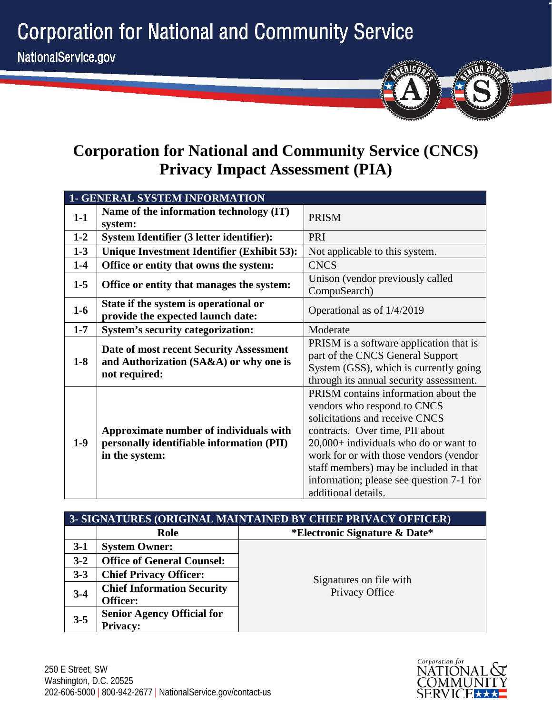**Corporation for National and Community Service** 



# **Corporation for National and Community Service (CNCS) Privacy Impact Assessment (PIA)**

|         | <b>1- GENERAL SYSTEM INFORMATION</b>                                                                  |                                                                                                                                                                                                                                                                                                                                            |  |
|---------|-------------------------------------------------------------------------------------------------------|--------------------------------------------------------------------------------------------------------------------------------------------------------------------------------------------------------------------------------------------------------------------------------------------------------------------------------------------|--|
| $1-1$   | Name of the information technology (IT)<br>system:                                                    | <b>PRISM</b>                                                                                                                                                                                                                                                                                                                               |  |
| $1 - 2$ | System Identifier (3 letter identifier):                                                              | PRI                                                                                                                                                                                                                                                                                                                                        |  |
| $1-3$   | Unique Investment Identifier (Exhibit 53):                                                            | Not applicable to this system.                                                                                                                                                                                                                                                                                                             |  |
| $1-4$   | Office or entity that owns the system:                                                                | <b>CNCS</b>                                                                                                                                                                                                                                                                                                                                |  |
| $1 - 5$ | Office or entity that manages the system:                                                             | Unison (vendor previously called<br>CompuSearch)                                                                                                                                                                                                                                                                                           |  |
| $1-6$   | State if the system is operational or<br>provide the expected launch date:                            | Operational as of 1/4/2019                                                                                                                                                                                                                                                                                                                 |  |
| $1 - 7$ | <b>System's security categorization:</b>                                                              | Moderate                                                                                                                                                                                                                                                                                                                                   |  |
| $1-8$   | Date of most recent Security Assessment<br>and Authorization (SA&A) or why one is<br>not required:    | PRISM is a software application that is<br>part of the CNCS General Support<br>System (GSS), which is currently going<br>through its annual security assessment.                                                                                                                                                                           |  |
| $1-9$   | Approximate number of individuals with<br>personally identifiable information (PII)<br>in the system: | PRISM contains information about the<br>vendors who respond to CNCS<br>solicitations and receive CNCS<br>contracts. Over time, PII about<br>$20,000+$ individuals who do or want to<br>work for or with those vendors (vendor<br>staff members) may be included in that<br>information; please see question 7-1 for<br>additional details. |  |

|         | 3- SIGNATURES (ORIGINAL MAINTAINED BY CHIEF PRIVACY OFFICER) |                               |  |
|---------|--------------------------------------------------------------|-------------------------------|--|
|         | Role                                                         | *Electronic Signature & Date* |  |
| $3-1$   | <b>System Owner:</b>                                         |                               |  |
| $3 - 2$ | <b>Office of General Counsel:</b>                            |                               |  |
| $3 - 3$ | <b>Chief Privacy Officer:</b>                                | Signatures on file with       |  |
| $3-4$   | <b>Chief Information Security</b>                            | Privacy Office                |  |
|         | <b>Officer:</b>                                              |                               |  |
| $3 - 5$ | <b>Senior Agency Official for</b>                            |                               |  |
|         | <b>Privacy:</b>                                              |                               |  |

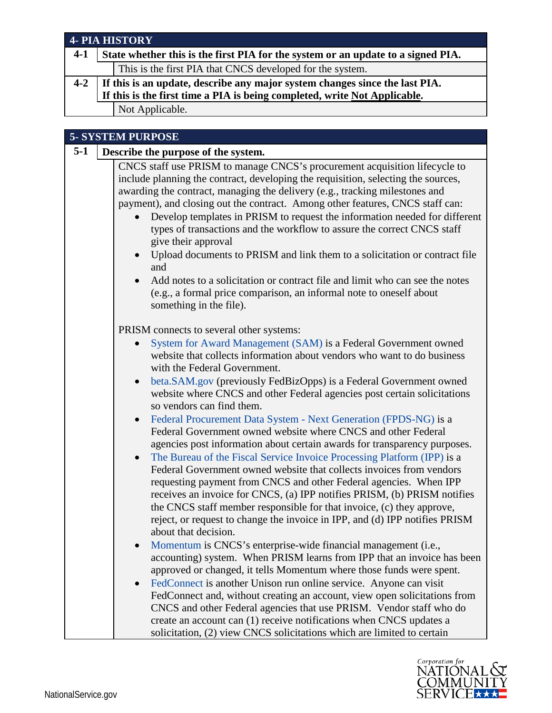|         | <b>4- PIA HISTORY</b>                                                                                                                                                                                                                                                                                                                                                                                                                                                                                                                                                                                                                                                                                                                                                                  |
|---------|----------------------------------------------------------------------------------------------------------------------------------------------------------------------------------------------------------------------------------------------------------------------------------------------------------------------------------------------------------------------------------------------------------------------------------------------------------------------------------------------------------------------------------------------------------------------------------------------------------------------------------------------------------------------------------------------------------------------------------------------------------------------------------------|
| $4 - 1$ | State whether this is the first PIA for the system or an update to a signed PIA.                                                                                                                                                                                                                                                                                                                                                                                                                                                                                                                                                                                                                                                                                                       |
|         | This is the first PIA that CNCS developed for the system.                                                                                                                                                                                                                                                                                                                                                                                                                                                                                                                                                                                                                                                                                                                              |
| $4 - 2$ | If this is an update, describe any major system changes since the last PIA.                                                                                                                                                                                                                                                                                                                                                                                                                                                                                                                                                                                                                                                                                                            |
|         | If this is the first time a PIA is being completed, write Not Applicable.                                                                                                                                                                                                                                                                                                                                                                                                                                                                                                                                                                                                                                                                                                              |
|         | Not Applicable.                                                                                                                                                                                                                                                                                                                                                                                                                                                                                                                                                                                                                                                                                                                                                                        |
|         | <b>5- SYSTEM PURPOSE</b>                                                                                                                                                                                                                                                                                                                                                                                                                                                                                                                                                                                                                                                                                                                                                               |
| $5-1$   | Describe the purpose of the system.                                                                                                                                                                                                                                                                                                                                                                                                                                                                                                                                                                                                                                                                                                                                                    |
|         | CNCS staff use PRISM to manage CNCS's procurement acquisition lifecycle to<br>include planning the contract, developing the requisition, selecting the sources,<br>awarding the contract, managing the delivery (e.g., tracking milestones and<br>payment), and closing out the contract. Among other features, CNCS staff can:<br>Develop templates in PRISM to request the information needed for different<br>types of transactions and the workflow to assure the correct CNCS staff<br>give their approval<br>Upload documents to PRISM and link them to a solicitation or contract file<br>and<br>Add notes to a solicitation or contract file and limit who can see the notes<br>(e.g., a formal price comparison, an informal note to oneself about<br>something in the file). |
|         | PRISM connects to several other systems:<br>System for Award Management (SAM) is a Federal Government owned<br>website that collects information about vendors who want to do business<br>with the Federal Government.<br>beta.SAM.gov (previously FedBizOpps) is a Federal Government owned<br>website where CNCS and other Federal agencies post certain solicitations<br>so vendors can find them.<br>Federal Procurement Data System - Next Generation (FPDS-NG) is a<br>Federal Government owned website where CNCS and other Federal<br>agencies post information about certain awards for transparency purposes.<br>The Bureau of the Fiscal Service Invoice Processing Platform (IPP) is a                                                                                     |

Federal Government owned website that collects invoices from vendors requesting payment from CNCS and other Federal agencies. When IPP receives an invoice for CNCS, (a) IPP notifies PRISM, (b) PRISM notifies the CNCS staff member responsible for that invoice, (c) they approve, reject, or request to change the invoice in IPP, and (d) IPP notifies PRISM about that decision.

- [Momentum](https://www.nationalservice.gov/privacy/privacy-impact-assessments) is CNCS's enterprise-wide financial management (i.e., accounting) system. When PRISM learns from IPP that an invoice has been approved or changed, it tells Momentum where those funds were spent.
- [FedConnect](https://www.fedconnect.net/FedConnect/default.htm) is another Unison run online service. Anyone can visit FedConnect and, without creating an account, view open solicitations from CNCS and other Federal agencies that use PRISM. Vendor staff who do create an account can (1) receive notifications when CNCS updates a solicitation, (2) view CNCS solicitations which are limited to certain

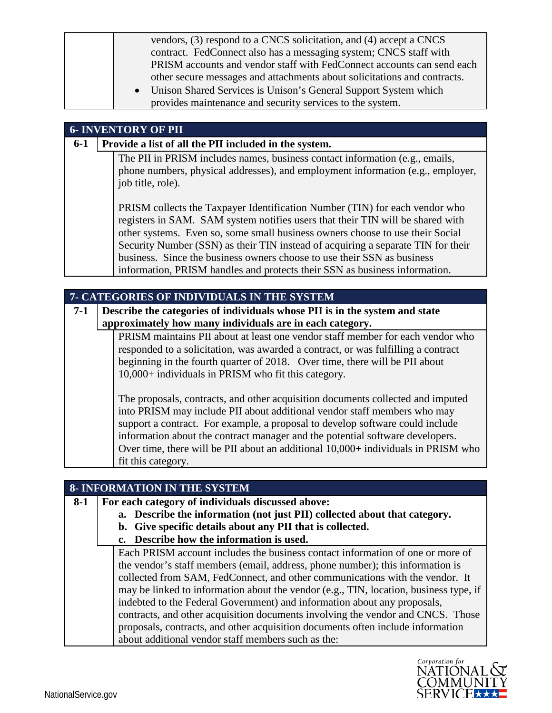| vendors, (3) respond to a CNCS solicitation, and (4) accept a CNCS       |
|--------------------------------------------------------------------------|
| contract. FedConnect also has a messaging system; CNCS staff with        |
| PRISM accounts and vendor staff with FedConnect accounts can send each   |
| other secure messages and attachments about solicitations and contracts. |
| • Unison Shared Services is Unison's General Support System which        |
| provides maintenance and security services to the system.                |

#### **6- INVENTORY OF PII**

**6-1 Provide a list of all the PII included in the system.**

The PII in PRISM includes names, business contact information (e.g., emails, phone numbers, physical addresses), and employment information (e.g., employer, job title, role).

PRISM collects the Taxpayer Identification Number (TIN) for each vendor who registers in SAM. SAM system notifies users that their TIN will be shared with other systems. Even so, some small business owners choose to use their Social Security Number (SSN) as their TIN instead of acquiring a separate TIN for their business. Since the business owners choose to use their SSN as business information, PRISM handles and protects their SSN as business information.

| <b>7- CATEGORIES OF INDIVIDUALS IN THE SYSTEM</b> |  |  |  |  |  |
|---------------------------------------------------|--|--|--|--|--|
|---------------------------------------------------|--|--|--|--|--|

**7-1 Describe the categories of individuals whose PII is in the system and state approximately how many individuals are in each category.**

> PRISM maintains PII about at least one vendor staff member for each vendor who responded to a solicitation, was awarded a contract, or was fulfilling a contract beginning in the fourth quarter of 2018. Over time, there will be PII about 10,000+ individuals in PRISM who fit this category.

The proposals, contracts, and other acquisition documents collected and imputed into PRISM may include PII about additional vendor staff members who may support a contract. For example, a proposal to develop software could include information about the contract manager and the potential software developers. Over time, there will be PII about an additional  $10,000+$  individuals in PRISM who fit this category.

|       | <b>8- INFORMATION IN THE SYSTEM</b>                                                   |
|-------|---------------------------------------------------------------------------------------|
| $8-1$ | For each category of individuals discussed above:                                     |
|       | a. Describe the information (not just PII) collected about that category.             |
|       | b. Give specific details about any PII that is collected.                             |
|       | c. Describe how the information is used.                                              |
|       | Each PRISM account includes the business contact information of one or more of        |
|       | the vendor's staff members (email, address, phone number); this information is        |
|       | collected from SAM, FedConnect, and other communications with the vendor. It          |
|       | may be linked to information about the vendor (e.g., TIN, location, business type, if |
|       | indebted to the Federal Government) and information about any proposals,              |
|       | contracts, and other acquisition documents involving the vendor and CNCS. Those       |
|       | proposals, contracts, and other acquisition documents often include information       |
|       | about additional vendor staff members such as the:                                    |

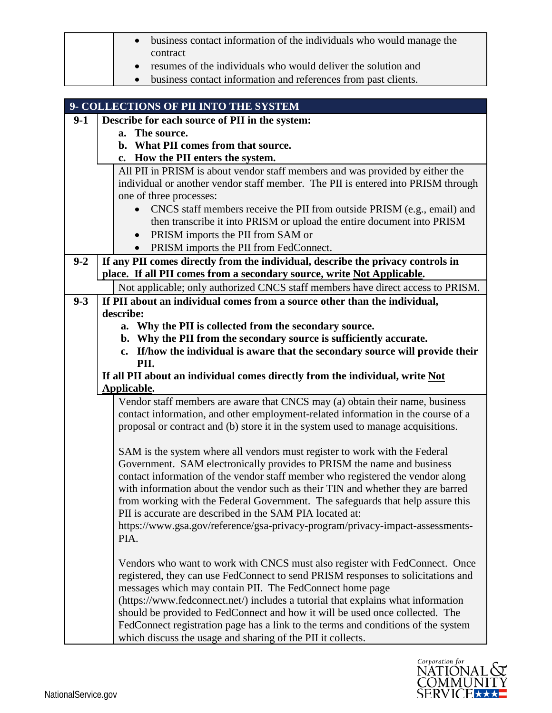|         | business contact information of the individuals who would manage the<br>contract<br>resumes of the individuals who would deliver the solution and                 |
|---------|-------------------------------------------------------------------------------------------------------------------------------------------------------------------|
|         |                                                                                                                                                                   |
|         |                                                                                                                                                                   |
|         | business contact information and references from past clients.                                                                                                    |
|         |                                                                                                                                                                   |
|         | 9- COLLECTIONS OF PII INTO THE SYSTEM                                                                                                                             |
| $9-1$   | Describe for each source of PII in the system:                                                                                                                    |
|         | a. The source.                                                                                                                                                    |
|         | b. What PII comes from that source.                                                                                                                               |
|         | c. How the PII enters the system.                                                                                                                                 |
|         | All PII in PRISM is about vendor staff members and was provided by either the                                                                                     |
|         | individual or another vendor staff member. The PII is entered into PRISM through<br>one of three processes:                                                       |
|         | CNCS staff members receive the PII from outside PRISM (e.g., email) and                                                                                           |
|         | then transcribe it into PRISM or upload the entire document into PRISM                                                                                            |
|         | PRISM imports the PII from SAM or<br>$\bullet$                                                                                                                    |
|         | PRISM imports the PII from FedConnect.<br>$\bullet$                                                                                                               |
| $9 - 2$ | If any PII comes directly from the individual, describe the privacy controls in                                                                                   |
|         | place. If all PII comes from a secondary source, write Not Applicable.                                                                                            |
|         | Not applicable; only authorized CNCS staff members have direct access to PRISM.                                                                                   |
| $9 - 3$ | If PII about an individual comes from a source other than the individual,                                                                                         |
|         | describe:                                                                                                                                                         |
|         | a. Why the PII is collected from the secondary source.                                                                                                            |
|         | b. Why the PII from the secondary source is sufficiently accurate.                                                                                                |
|         | c. If/how the individual is aware that the secondary source will provide their<br>PII.                                                                            |
|         | If all PII about an individual comes directly from the individual, write Not                                                                                      |
|         | Applicable.                                                                                                                                                       |
|         | Vendor staff members are aware that CNCS may (a) obtain their name, business                                                                                      |
|         | contact information, and other employment-related information in the course of a                                                                                  |
|         | proposal or contract and (b) store it in the system used to manage acquisitions.                                                                                  |
|         |                                                                                                                                                                   |
|         | SAM is the system where all vendors must register to work with the Federal                                                                                        |
|         | Government. SAM electronically provides to PRISM the name and business                                                                                            |
|         | contact information of the vendor staff member who registered the vendor along<br>with information about the vendor such as their TIN and whether they are barred |
|         | from working with the Federal Government. The safeguards that help assure this                                                                                    |
|         | PII is accurate are described in the SAM PIA located at:                                                                                                          |
|         | https://www.gsa.gov/reference/gsa-privacy-program/privacy-impact-assessments-                                                                                     |
|         | PIA.                                                                                                                                                              |
|         |                                                                                                                                                                   |
|         | Vendors who want to work with CNCS must also register with FedConnect. Once                                                                                       |
|         |                                                                                                                                                                   |
|         |                                                                                                                                                                   |
|         | (https://www.fedconnect.net/) includes a tutorial that explains what information                                                                                  |
|         |                                                                                                                                                                   |
|         | should be provided to FedConnect and how it will be used once collected. The<br>FedConnect registration page has a link to the terms and conditions of the system |
|         | registered, they can use FedConnect to send PRISM responses to solicitations and<br>messages which may contain PII. The FedConnect home page                      |

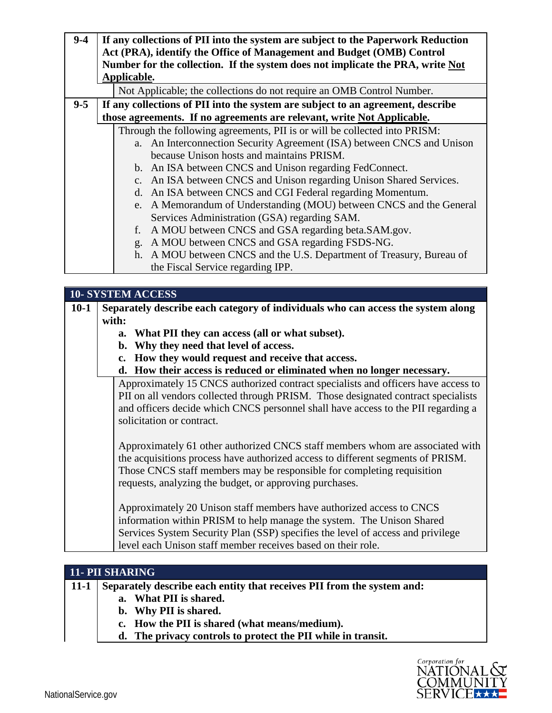| $9 - 4$ | If any collections of PII into the system are subject to the Paperwork Reduction<br>Act (PRA), identify the Office of Management and Budget (OMB) Control |
|---------|-----------------------------------------------------------------------------------------------------------------------------------------------------------|
|         | Number for the collection. If the system does not implicate the PRA, write Not                                                                            |
|         | Applicable.                                                                                                                                               |
|         | Not Applicable; the collections do not require an OMB Control Number.                                                                                     |
| $9 - 5$ | If any collections of PII into the system are subject to an agreement, describe                                                                           |
|         | those agreements. If no agreements are relevant, write Not Applicable.                                                                                    |
|         | Through the following agreements, PII is or will be collected into PRISM:                                                                                 |
|         | a. An Interconnection Security Agreement (ISA) between CNCS and Unison                                                                                    |
|         | because Unison hosts and maintains PRISM.                                                                                                                 |
|         | b. An ISA between CNCS and Unison regarding FedConnect.                                                                                                   |
|         | c. An ISA between CNCS and Unison regarding Unison Shared Services.                                                                                       |
|         | d. An ISA between CNCS and CGI Federal regarding Momentum.                                                                                                |
|         | e. A Memorandum of Understanding (MOU) between CNCS and the General                                                                                       |
|         | Services Administration (GSA) regarding SAM.                                                                                                              |
|         | A MOU between CNCS and GSA regarding beta. SAM.gov.<br>f.                                                                                                 |
|         | A MOU between CNCS and GSA regarding FSDS-NG.<br>g.                                                                                                       |
|         | h. A MOU between CNCS and the U.S. Department of Treasury, Bureau of                                                                                      |
|         | the Fiscal Service regarding IPP.                                                                                                                         |

|        |                | <b>10- SYSTEM ACCESS</b>                                                          |
|--------|----------------|-----------------------------------------------------------------------------------|
| $10-1$ |                | Separately describe each category of individuals who can access the system along  |
|        | with:          |                                                                                   |
|        | $a_{\cdot}$    | What PII they can access (all or what subset).                                    |
|        | $\mathbf{b}$ . | Why they need that level of access.                                               |
|        | $c_{\bullet}$  | How they would request and receive that access.                                   |
|        | d.             | How their access is reduced or eliminated when no longer necessary.               |
|        |                | Approximately 15 CNCS authorized contract specialists and officers have access to |
|        |                | PII on all vendors collected through PRISM. Those designated contract specialists |
|        |                | and officers decide which CNCS personnel shall have access to the PII regarding a |
|        |                | solicitation or contract.                                                         |
|        |                |                                                                                   |
|        |                | Approximately 61 other authorized CNCS staff members whom are associated with     |
|        |                | the acquisitions process have authorized access to different segments of PRISM.   |
|        |                | Those CNCS staff members may be responsible for completing requisition            |
|        |                | requests, analyzing the budget, or approving purchases.                           |
|        |                |                                                                                   |
|        |                | Approximately 20 Unison staff members have authorized access to CNCS              |
|        |                | information within PRISM to help manage the system. The Unison Shared             |
|        |                | Services System Security Plan (SSP) specifies the level of access and privilege   |
|        |                | level each Unison staff member receives based on their role.                      |

|             | <b>11- PII SHARING</b>                                                 |  |
|-------------|------------------------------------------------------------------------|--|
| $\mid$ 11-1 | Separately describe each entity that receives PII from the system and: |  |
|             | a. What PII is shared.                                                 |  |
|             | b. Why PII is shared.                                                  |  |
|             | c. How the PII is shared (what means/medium).                          |  |
|             | d. The privacy controls to protect the PII while in transit.           |  |

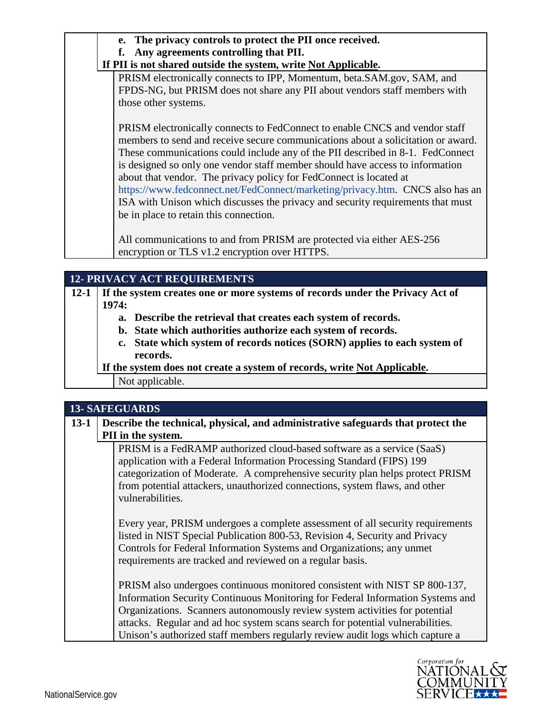| e. The privacy controls to protect the PII once received.                        |
|----------------------------------------------------------------------------------|
| Any agreements controlling that PII.<br>f.                                       |
| If PII is not shared outside the system, write Not Applicable.                   |
| PRISM electronically connects to IPP, Momentum, beta.SAM.gov, SAM, and           |
| FPDS-NG, but PRISM does not share any PII about vendors staff members with       |
| those other systems.                                                             |
|                                                                                  |
| PRISM electronically connects to FedConnect to enable CNCS and vendor staff      |
| members to send and receive secure communications about a solicitation or award. |
| These communications could include any of the PII described in 8-1. FedConnect   |
| is designed so only one vendor staff member should have access to information    |
| about that vendor. The privacy policy for FedConnect is located at               |
| https://www.fedconnect.net/FedConnect/marketing/privacy.htm. CNCS also has an    |
| ISA with Unison which discusses the privacy and security requirements that must  |
| be in place to retain this connection.                                           |
|                                                                                  |
| All communications to and from PRISM are protected via either AES-256            |
| encryption or TLS v1.2 encryption over HTTPS.                                    |

## **12- PRIVACY ACT REQUIREMENTS**

**12-1 If the system creates one or more systems of records under the Privacy Act of 1974:**

- **a. Describe the retrieval that creates each system of records.**
- **b. State which authorities authorize each system of records.**
- **c. State which system of records notices (SORN) applies to each system of records.**

**If the system does not create a system of records, write Not Applicable.**

Not applicable.

# **13- SAFEGUARDS**

| $13-1$ | Describe the technical, physical, and administrative safeguards that protect the                                                                                                                                                                                                                                                                                                                               |
|--------|----------------------------------------------------------------------------------------------------------------------------------------------------------------------------------------------------------------------------------------------------------------------------------------------------------------------------------------------------------------------------------------------------------------|
|        | PII in the system.                                                                                                                                                                                                                                                                                                                                                                                             |
|        | PRISM is a FedRAMP authorized cloud-based software as a service (SaaS)<br>application with a Federal Information Processing Standard (FIPS) 199<br>categorization of Moderate. A comprehensive security plan helps protect PRISM<br>from potential attackers, unauthorized connections, system flaws, and other<br>vulnerabilities.                                                                            |
|        | Every year, PRISM undergoes a complete assessment of all security requirements<br>listed in NIST Special Publication 800-53, Revision 4, Security and Privacy<br>Controls for Federal Information Systems and Organizations; any unmet<br>requirements are tracked and reviewed on a regular basis.                                                                                                            |
|        | PRISM also undergoes continuous monitored consistent with NIST SP 800-137,<br>Information Security Continuous Monitoring for Federal Information Systems and<br>Organizations. Scanners autonomously review system activities for potential<br>attacks. Regular and ad hoc system scans search for potential vulnerabilities.<br>Unison's authorized staff members regularly review audit logs which capture a |

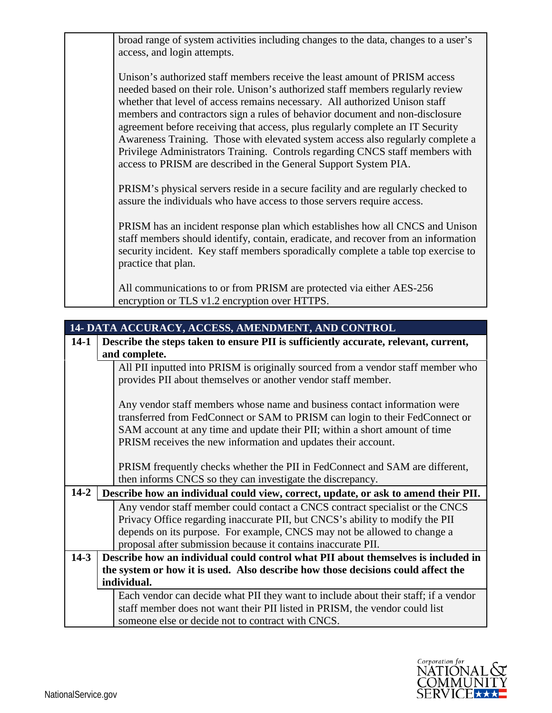broad range of system activities including changes to the data, changes to a user's access, and login attempts. Unison's authorized staff members receive the least amount of PRISM access needed based on their role. Unison's authorized staff members regularly review whether that level of access remains necessary. All authorized Unison staff members and contractors sign a rules of behavior document and non-disclosure agreement before receiving that access, plus regularly complete an IT Security Awareness Training. Those with elevated system access also regularly complete a Privilege Administrators Training. Controls regarding CNCS staff members with access to PRISM are described in the General Support System PIA. PRISM's physical servers reside in a secure facility and are regularly checked to assure the individuals who have access to those servers require access. PRISM has an incident response plan which establishes how all CNCS and Unison staff members should identify, contain, eradicate, and recover from an information security incident. Key staff members sporadically complete a table top exercise to practice that plan. All communications to or from PRISM are protected via either AES-256

encryption or TLS v1.2 encryption over HTTPS.

| 14- DATA ACCURACY, ACCESS, AMENDMENT, AND CONTROL |  |                                                                                                                                                                                                                                                                                                            |
|---------------------------------------------------|--|------------------------------------------------------------------------------------------------------------------------------------------------------------------------------------------------------------------------------------------------------------------------------------------------------------|
| $14-1$                                            |  | Describe the steps taken to ensure PII is sufficiently accurate, relevant, current,                                                                                                                                                                                                                        |
|                                                   |  | and complete.                                                                                                                                                                                                                                                                                              |
|                                                   |  | All PII inputted into PRISM is originally sourced from a vendor staff member who<br>provides PII about themselves or another vendor staff member.                                                                                                                                                          |
|                                                   |  | Any vendor staff members whose name and business contact information were<br>transferred from FedConnect or SAM to PRISM can login to their FedConnect or<br>SAM account at any time and update their PII; within a short amount of time<br>PRISM receives the new information and updates their account.  |
|                                                   |  | PRISM frequently checks whether the PII in FedConnect and SAM are different,<br>then informs CNCS so they can investigate the discrepancy.                                                                                                                                                                 |
| $14 - 2$                                          |  | Describe how an individual could view, correct, update, or ask to amend their PII.                                                                                                                                                                                                                         |
|                                                   |  | Any vendor staff member could contact a CNCS contract specialist or the CNCS<br>Privacy Office regarding inaccurate PII, but CNCS's ability to modify the PII<br>depends on its purpose. For example, CNCS may not be allowed to change a<br>proposal after submission because it contains inaccurate PII. |
| $14-3$                                            |  | Describe how an individual could control what PII about themselves is included in                                                                                                                                                                                                                          |
|                                                   |  | the system or how it is used. Also describe how those decisions could affect the                                                                                                                                                                                                                           |
|                                                   |  | individual.                                                                                                                                                                                                                                                                                                |
|                                                   |  | Each vendor can decide what PII they want to include about their staff; if a vendor                                                                                                                                                                                                                        |
|                                                   |  | staff member does not want their PII listed in PRISM, the vendor could list                                                                                                                                                                                                                                |
|                                                   |  | someone else or decide not to contract with CNCS.                                                                                                                                                                                                                                                          |